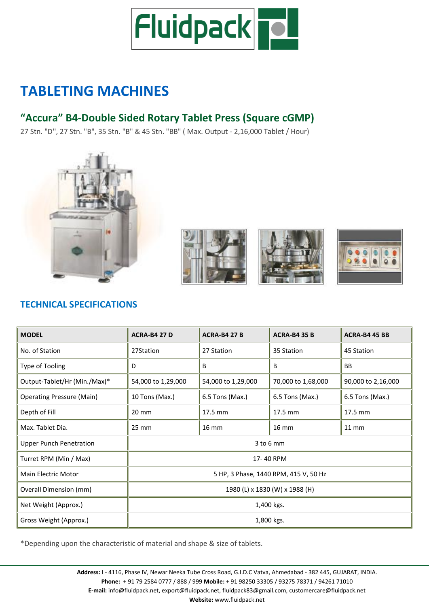

# **TABLETING MACHINES**

# **"Accura" B4-Double Sided Rotary Tablet Press (Square cGMP)**

27 Stn. "D'', 27 Stn. "B", 35 Stn. "B" & 45 Stn. "BB" ( Max. Output - 2,16,000 Tablet / Hour)









## **TECHNICAL SPECIFICATIONS**

| <b>MODEL</b>                     | <b>ACRA-B4 27 D</b>                   | <b>ACRA-B4 27 B</b> | <b>ACRA-B4 35 B</b> | ACRA-B4 45 BB      |
|----------------------------------|---------------------------------------|---------------------|---------------------|--------------------|
| No. of Station                   | 27Station                             | 27 Station          | 35 Station          | 45 Station         |
| Type of Tooling                  | D                                     | B                   | B                   | <b>BB</b>          |
| Output-Tablet/Hr (Min./Max)*     | 54,000 to 1,29,000                    | 54,000 to 1,29,000  | 70,000 to 1,68,000  | 90,000 to 2,16,000 |
| <b>Operating Pressure (Main)</b> | 10 Tons (Max.)                        | 6.5 Tons (Max.)     | 6.5 Tons (Max.)     | 6.5 Tons (Max.)    |
| Depth of Fill                    | 20 mm                                 | 17.5 mm             | 17.5 mm             | 17.5 mm            |
| Max. Tablet Dia.                 | 25 mm                                 | $16 \text{ mm}$     | <b>16 mm</b>        | $11 \, \text{mm}$  |
| <b>Upper Punch Penetration</b>   | $3$ to $6$ mm                         |                     |                     |                    |
| Turret RPM (Min / Max)           | 17-40 RPM                             |                     |                     |                    |
| <b>Main Electric Motor</b>       | 5 HP, 3 Phase, 1440 RPM, 415 V, 50 Hz |                     |                     |                    |
| <b>Overall Dimension (mm)</b>    | 1980 (L) x 1830 (W) x 1988 (H)        |                     |                     |                    |
| Net Weight (Approx.)             | 1,400 kgs.                            |                     |                     |                    |
| Gross Weight (Approx.)           | 1,800 kgs.                            |                     |                     |                    |

\*Depending upon the characteristic of material and shape & size of tablets.